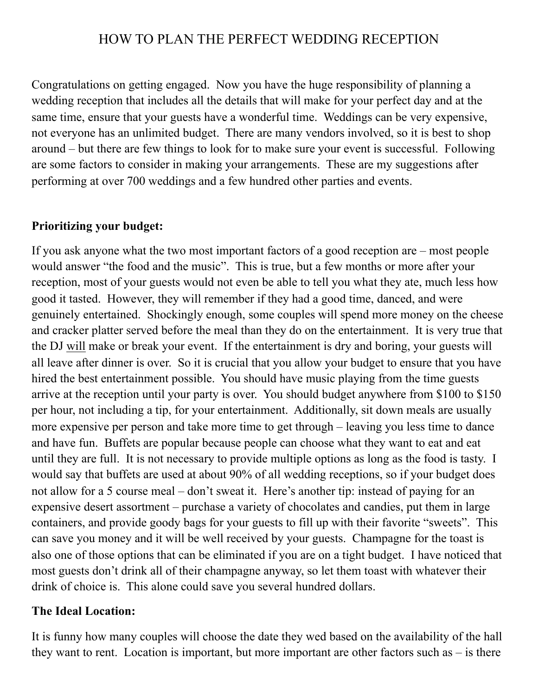# HOW TO PLAN THE PERFECT WEDDING RECEPTION

Congratulations on getting engaged. Now you have the huge responsibility of planning a wedding reception that includes all the details that will make for your perfect day and at the same time, ensure that your guests have a wonderful time. Weddings can be very expensive, not everyone has an unlimited budget. There are many vendors involved, so it is best to shop around – but there are few things to look for to make sure your event is successful. Following are some factors to consider in making your arrangements. These are my suggestions after performing at over 700 weddings and a few hundred other parties and events.

#### **Prioritizing your budget:**

If you ask anyone what the two most important factors of a good reception are – most people would answer "the food and the music". This is true, but a few months or more after your reception, most of your guests would not even be able to tell you what they ate, much less how good it tasted. However, they will remember if they had a good time, danced, and were genuinely entertained. Shockingly enough, some couples will spend more money on the cheese and cracker platter served before the meal than they do on the entertainment. It is very true that the DJ will make or break your event. If the entertainment is dry and boring, your guests will all leave after dinner is over. So it is crucial that you allow your budget to ensure that you have hired the best entertainment possible. You should have music playing from the time guests arrive at the reception until your party is over. You should budget anywhere from \$100 to \$150 per hour, not including a tip, for your entertainment. Additionally, sit down meals are usually more expensive per person and take more time to get through – leaving you less time to dance and have fun. Buffets are popular because people can choose what they want to eat and eat until they are full. It is not necessary to provide multiple options as long as the food is tasty. I would say that buffets are used at about 90% of all wedding receptions, so if your budget does not allow for a 5 course meal – don't sweat it. Here's another tip: instead of paying for an expensive desert assortment – purchase a variety of chocolates and candies, put them in large containers, and provide goody bags for your guests to fill up with their favorite "sweets". This can save you money and it will be well received by your guests. Champagne for the toast is also one of those options that can be eliminated if you are on a tight budget. I have noticed that most guests don't drink all of their champagne anyway, so let them toast with whatever their drink of choice is. This alone could save you several hundred dollars.

#### **The Ideal Location:**

It is funny how many couples will choose the date they wed based on the availability of the hall they want to rent. Location is important, but more important are other factors such as – is there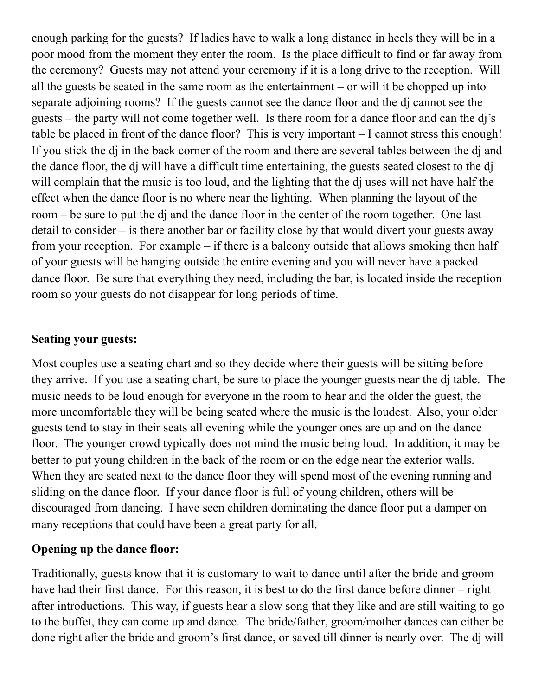enough parking for the guests? If ladies have to walk a long distance in heels they will be in a poor mood from the moment they enter the room. Is the place difficult to find or far away from the ceremony? Guests may not attend your ceremony if it is a long drive to the reception. Will all the guests be seated in the same room as the entertainment – or will it be chopped up into separate adjoining rooms? If the guests cannot see the dance floor and the dj cannot see the guests – the party will not come together well. Is there room for a dance floor and can the dj's table be placed in front of the dance floor? This is very important – I cannot stress this enough! If you stick the dj in the back corner of the room and there are several tables between the dj and the dance floor, the dj will have a difficult time entertaining, the guests seated closest to the dj will complain that the music is too loud, and the lighting that the dj uses will not have half the effect when the dance floor is no where near the lighting. When planning the layout of the room – be sure to put the dj and the dance floor in the center of the room together. One last detail to consider – is there another bar or facility close by that would divert your guests away from your reception. For example – if there is a balcony outside that allows smoking then half of your guests will be hanging outside the entire evening and you will never have a packed dance floor. Be sure that everything they need, including the bar, is located inside the reception room so your guests do not disappear for long periods of time.

## **Seating your guests:**

Most couples use a seating chart and so they decide where their guests will be sitting before they arrive. If you use a seating chart, be sure to place the younger guests near the dj table. The music needs to be loud enough for everyone in the room to hear and the older the guest, the more uncomfortable they will be being seated where the music is the loudest. Also, your older guests tend to stay in their seats all evening while the younger ones are up and on the dance floor. The younger crowd typically does not mind the music being loud. In addition, it may be better to put young children in the back of the room or on the edge near the exterior walls. When they are seated next to the dance floor they will spend most of the evening running and sliding on the dance floor. If your dance floor is full of young children, others will be discouraged from dancing. I have seen children dominating the dance floor put a damper on many receptions that could have been a great party for all.

## **Opening up the dance floor:**

Traditionally, guests know that it is customary to wait to dance until after the bride and groom have had their first dance. For this reason, it is best to do the first dance before dinner – right after introductions. This way, if guests hear a slow song that they like and are still waiting to go to the buffet, they can come up and dance. The bride/father, groom/mother dances can either be done right after the bride and groom's first dance, or saved till dinner is nearly over. The dj will